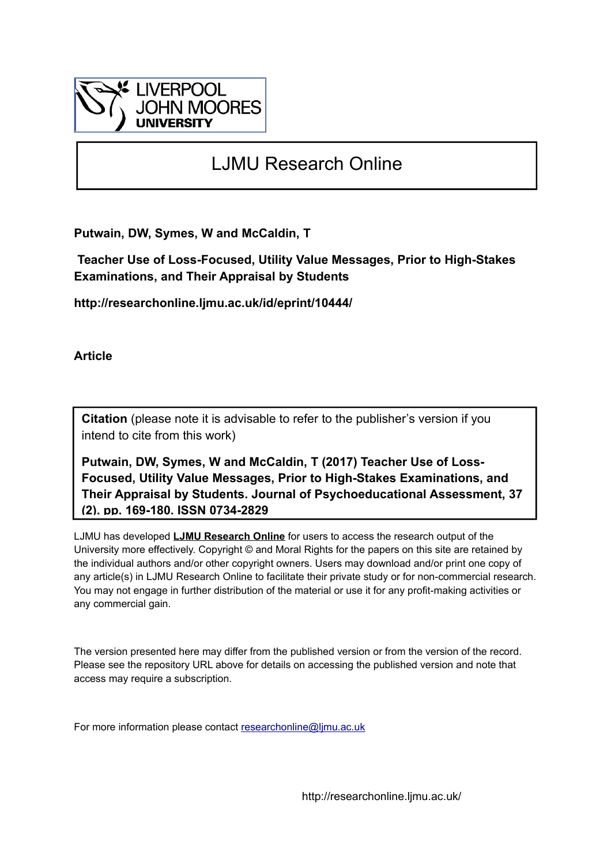

# LJMU Research Online

**Putwain, DW, Symes, W and McCaldin, T**

 **Teacher Use of Loss-Focused, Utility Value Messages, Prior to High-Stakes Examinations, and Their Appraisal by Students**

**http://researchonline.ljmu.ac.uk/id/eprint/10444/**

**Article**

**Citation** (please note it is advisable to refer to the publisher's version if you intend to cite from this work)

**Putwain, DW, Symes, W and McCaldin, T (2017) Teacher Use of Loss-Focused, Utility Value Messages, Prior to High-Stakes Examinations, and Their Appraisal by Students. Journal of Psychoeducational Assessment, 37 (2). pp. 169-180. ISSN 0734-2829** 

LJMU has developed **[LJMU Research Online](http://researchonline.ljmu.ac.uk/)** for users to access the research output of the University more effectively. Copyright © and Moral Rights for the papers on this site are retained by the individual authors and/or other copyright owners. Users may download and/or print one copy of any article(s) in LJMU Research Online to facilitate their private study or for non-commercial research. You may not engage in further distribution of the material or use it for any profit-making activities or any commercial gain.

The version presented here may differ from the published version or from the version of the record. Please see the repository URL above for details on accessing the published version and note that access may require a subscription.

For more information please contact [researchonline@ljmu.ac.uk](mailto:researchonline@ljmu.ac.uk)

http://researchonline.ljmu.ac.uk/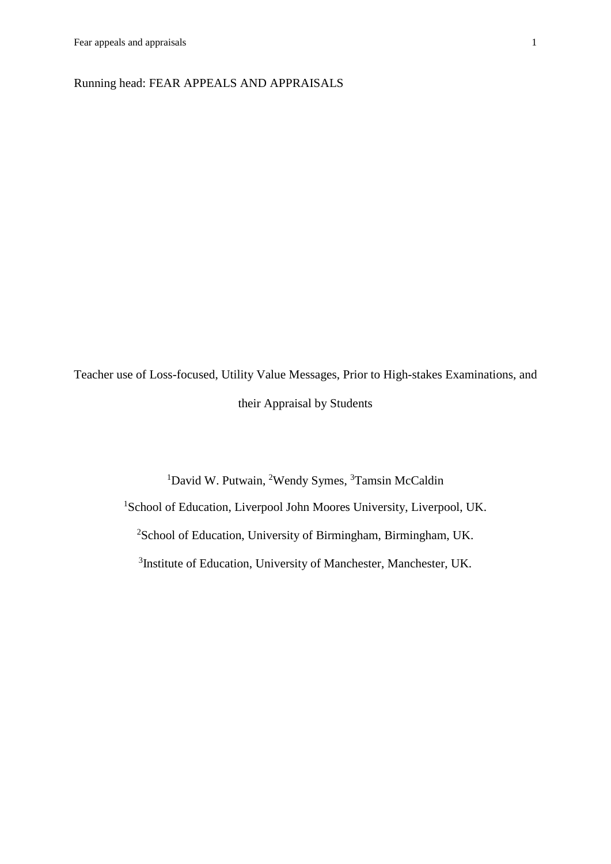Running head: FEAR APPEALS AND APPRAISALS

Teacher use of Loss-focused, Utility Value Messages, Prior to High-stakes Examinations, and their Appraisal by Students

> <sup>1</sup>David W. Putwain, <sup>2</sup>Wendy Symes, <sup>3</sup>Tamsin McCaldin <sup>1</sup>School of Education, Liverpool John Moores University, Liverpool, UK. <sup>2</sup>School of Education, University of Birmingham, Birmingham, UK. <sup>3</sup>Institute of Education, University of Manchester, Manchester, UK.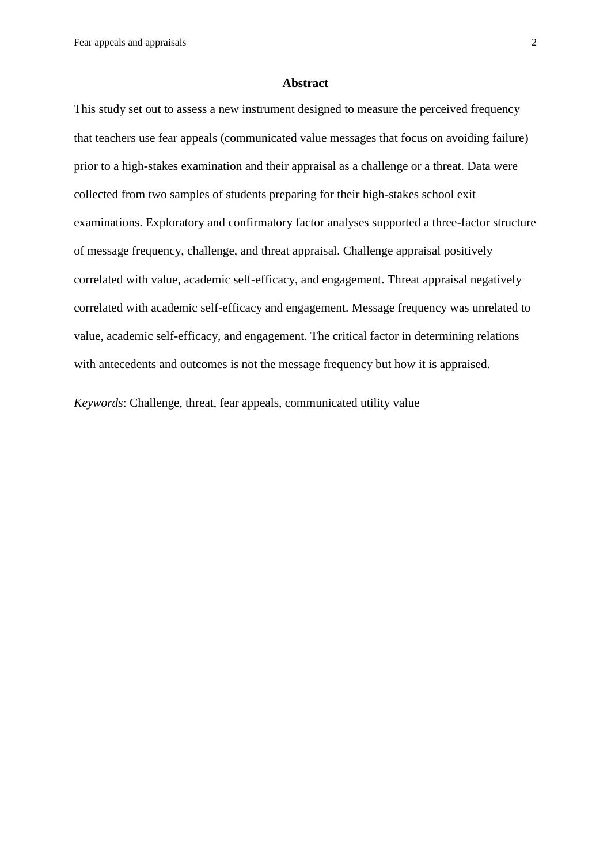Fear appeals and appraisals 2

#### **Abstract**

This study set out to assess a new instrument designed to measure the perceived frequency that teachers use fear appeals (communicated value messages that focus on avoiding failure) prior to a high-stakes examination and their appraisal as a challenge or a threat. Data were collected from two samples of students preparing for their high-stakes school exit examinations. Exploratory and confirmatory factor analyses supported a three-factor structure of message frequency, challenge, and threat appraisal. Challenge appraisal positively correlated with value, academic self-efficacy, and engagement. Threat appraisal negatively correlated with academic self-efficacy and engagement. Message frequency was unrelated to value, academic self-efficacy, and engagement. The critical factor in determining relations with antecedents and outcomes is not the message frequency but how it is appraised.

*Keywords*: Challenge, threat, fear appeals, communicated utility value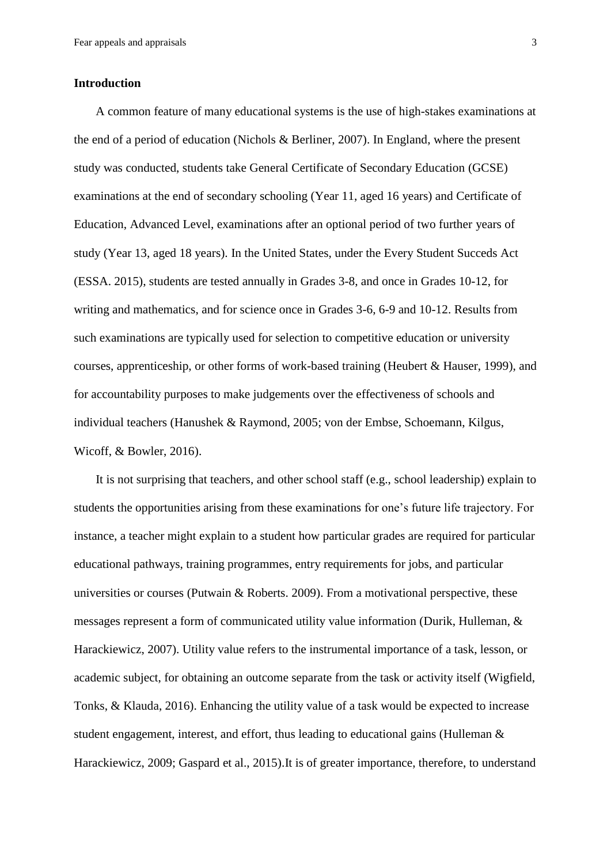#### **Introduction**

A common feature of many educational systems is the use of high-stakes examinations at the end of a period of education (Nichols & Berliner, 2007). In England, where the present study was conducted, students take General Certificate of Secondary Education (GCSE) examinations at the end of secondary schooling (Year 11, aged 16 years) and Certificate of Education, Advanced Level, examinations after an optional period of two further years of study (Year 13, aged 18 years). In the United States, under the Every Student Succeds Act (ESSA. 2015), students are tested annually in Grades 3-8, and once in Grades 10-12, for writing and mathematics, and for science once in Grades 3-6, 6-9 and 10-12. Results from such examinations are typically used for selection to competitive education or university courses, apprenticeship, or other forms of work-based training (Heubert & Hauser, 1999), and for accountability purposes to make judgements over the effectiveness of schools and individual teachers (Hanushek & Raymond, 2005; von der Embse, Schoemann, Kilgus, Wicoff, & Bowler, 2016).

It is not surprising that teachers, and other school staff (e.g., school leadership) explain to students the opportunities arising from these examinations for one's future life trajectory. For instance, a teacher might explain to a student how particular grades are required for particular educational pathways, training programmes, entry requirements for jobs, and particular universities or courses (Putwain & Roberts. 2009). From a motivational perspective, these messages represent a form of communicated utility value information (Durik, Hulleman, & Harackiewicz, 2007). Utility value refers to the instrumental importance of a task, lesson, or academic subject, for obtaining an outcome separate from the task or activity itself (Wigfield, Tonks, & Klauda, 2016). Enhancing the utility value of a task would be expected to increase student engagement, interest, and effort, thus leading to educational gains (Hulleman & Harackiewicz, 2009; Gaspard et al., 2015).It is of greater importance, therefore, to understand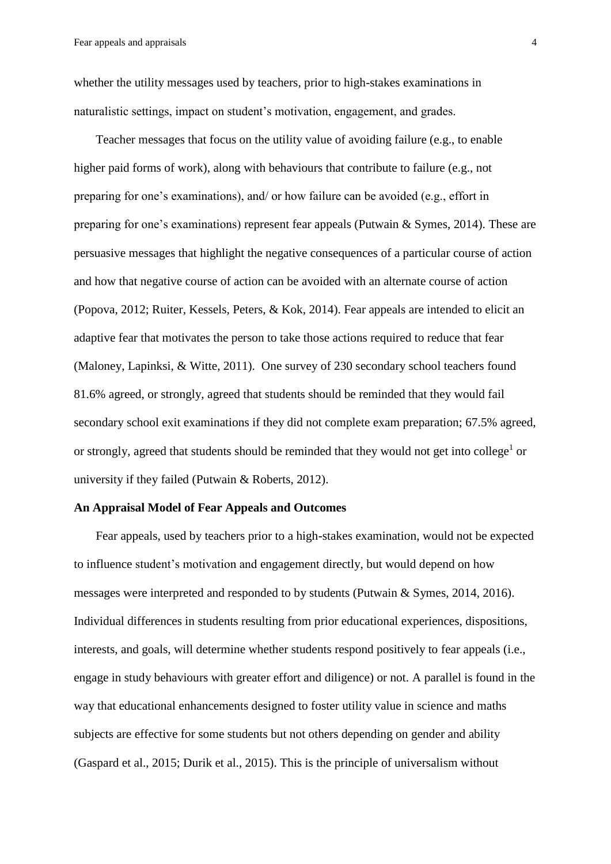whether the utility messages used by teachers, prior to high-stakes examinations in naturalistic settings, impact on student's motivation, engagement, and grades.

Teacher messages that focus on the utility value of avoiding failure (e.g., to enable higher paid forms of work), along with behaviours that contribute to failure (e.g., not preparing for one's examinations), and/ or how failure can be avoided (e.g., effort in preparing for one's examinations) represent fear appeals (Putwain & Symes, 2014). These are persuasive messages that highlight the negative consequences of a particular course of action and how that negative course of action can be avoided with an alternate course of action (Popova, 2012; Ruiter, Kessels, Peters, & Kok, 2014). Fear appeals are intended to elicit an adaptive fear that motivates the person to take those actions required to reduce that fear (Maloney, Lapinksi, & Witte, 2011). One survey of 230 secondary school teachers found 81.6% agreed, or strongly, agreed that students should be reminded that they would fail secondary school exit examinations if they did not complete exam preparation; 67.5% agreed, or strongly, agreed that students should be reminded that they would not get into college<sup>1</sup> or university if they failed (Putwain & Roberts, 2012).

#### **An Appraisal Model of Fear Appeals and Outcomes**

Fear appeals, used by teachers prior to a high-stakes examination, would not be expected to influence student's motivation and engagement directly, but would depend on how messages were interpreted and responded to by students (Putwain & Symes, 2014, 2016). Individual differences in students resulting from prior educational experiences, dispositions, interests, and goals, will determine whether students respond positively to fear appeals (i.e., engage in study behaviours with greater effort and diligence) or not. A parallel is found in the way that educational enhancements designed to foster utility value in science and maths subjects are effective for some students but not others depending on gender and ability (Gaspard et al., 2015; Durik et al., 2015). This is the principle of universalism without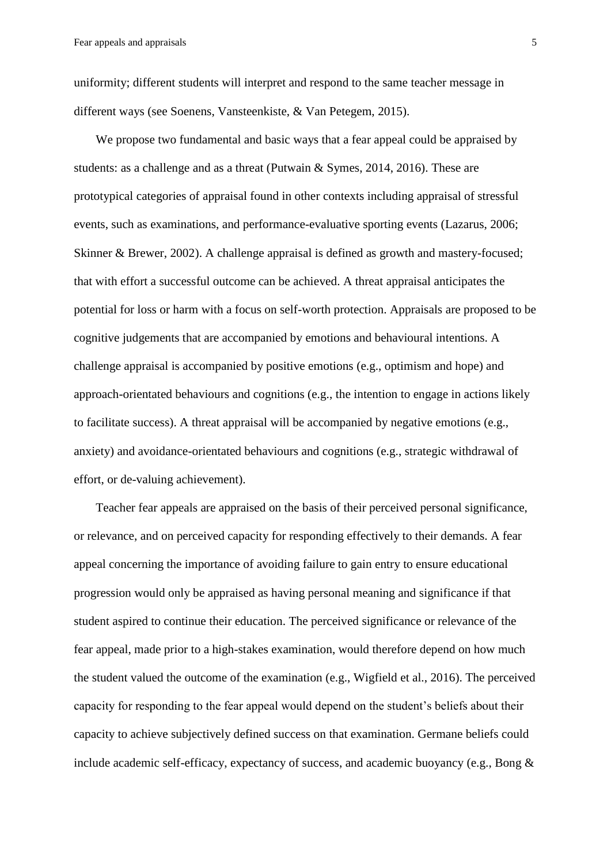uniformity; different students will interpret and respond to the same teacher message in different ways (see Soenens, Vansteenkiste, & Van Petegem, 2015).

We propose two fundamental and basic ways that a fear appeal could be appraised by students: as a challenge and as a threat (Putwain & Symes, 2014, 2016). These are prototypical categories of appraisal found in other contexts including appraisal of stressful events, such as examinations, and performance-evaluative sporting events (Lazarus, 2006; Skinner & Brewer, 2002). A challenge appraisal is defined as growth and mastery-focused; that with effort a successful outcome can be achieved. A threat appraisal anticipates the potential for loss or harm with a focus on self-worth protection. Appraisals are proposed to be cognitive judgements that are accompanied by emotions and behavioural intentions. A challenge appraisal is accompanied by positive emotions (e.g., optimism and hope) and approach-orientated behaviours and cognitions (e.g., the intention to engage in actions likely to facilitate success). A threat appraisal will be accompanied by negative emotions (e.g., anxiety) and avoidance-orientated behaviours and cognitions (e.g., strategic withdrawal of effort, or de-valuing achievement).

Teacher fear appeals are appraised on the basis of their perceived personal significance, or relevance, and on perceived capacity for responding effectively to their demands. A fear appeal concerning the importance of avoiding failure to gain entry to ensure educational progression would only be appraised as having personal meaning and significance if that student aspired to continue their education. The perceived significance or relevance of the fear appeal, made prior to a high-stakes examination, would therefore depend on how much the student valued the outcome of the examination (e.g., Wigfield et al., 2016). The perceived capacity for responding to the fear appeal would depend on the student's beliefs about their capacity to achieve subjectively defined success on that examination. Germane beliefs could include academic self-efficacy, expectancy of success, and academic buoyancy (e.g., Bong  $\&$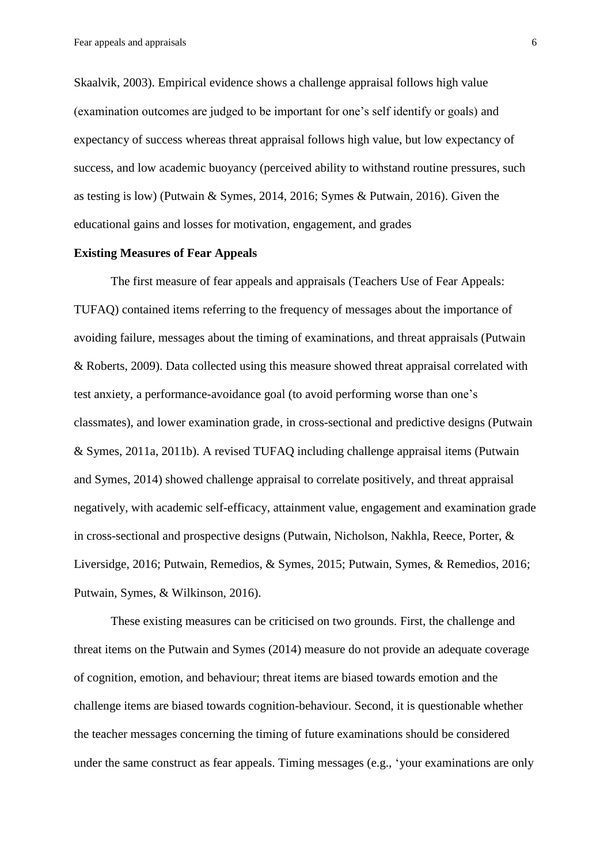Skaalvik, 2003). Empirical evidence shows a challenge appraisal follows high value (examination outcomes are judged to be important for one's self identify or goals) and expectancy of success whereas threat appraisal follows high value, but low expectancy of success, and low academic buoyancy (perceived ability to withstand routine pressures, such as testing is low) (Putwain & Symes, 2014, 2016; Symes & Putwain, 2016). Given the educational gains and losses for motivation, engagement, and grades

#### **Existing Measures of Fear Appeals**

The first measure of fear appeals and appraisals (Teachers Use of Fear Appeals: TUFAQ) contained items referring to the frequency of messages about the importance of avoiding failure, messages about the timing of examinations, and threat appraisals (Putwain & Roberts, 2009). Data collected using this measure showed threat appraisal correlated with test anxiety, a performance-avoidance goal (to avoid performing worse than one's classmates), and lower examination grade, in cross-sectional and predictive designs (Putwain & Symes, 2011a, 2011b). A revised TUFAQ including challenge appraisal items (Putwain and Symes, 2014) showed challenge appraisal to correlate positively, and threat appraisal negatively, with academic self-efficacy, attainment value, engagement and examination grade in cross-sectional and prospective designs (Putwain, Nicholson, Nakhla, Reece, Porter, & Liversidge, 2016; Putwain, Remedios, & Symes, 2015; Putwain, Symes, & Remedios, 2016; Putwain, Symes, & Wilkinson, 2016).

These existing measures can be criticised on two grounds. First, the challenge and threat items on the Putwain and Symes (2014) measure do not provide an adequate coverage of cognition, emotion, and behaviour; threat items are biased towards emotion and the challenge items are biased towards cognition-behaviour. Second, it is questionable whether the teacher messages concerning the timing of future examinations should be considered under the same construct as fear appeals. Timing messages (e.g., 'your examinations are only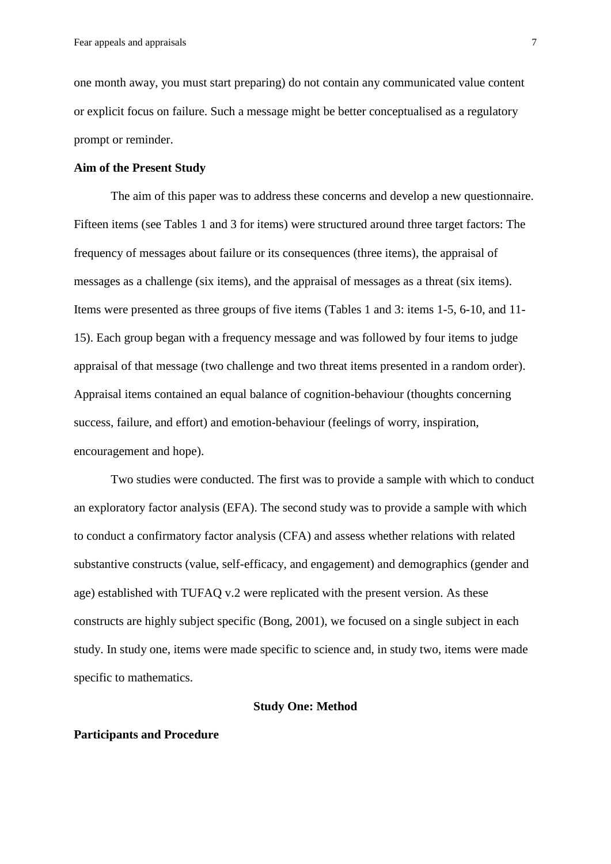one month away, you must start preparing) do not contain any communicated value content or explicit focus on failure. Such a message might be better conceptualised as a regulatory prompt or reminder.

#### **Aim of the Present Study**

The aim of this paper was to address these concerns and develop a new questionnaire. Fifteen items (see Tables 1 and 3 for items) were structured around three target factors: The frequency of messages about failure or its consequences (three items), the appraisal of messages as a challenge (six items), and the appraisal of messages as a threat (six items). Items were presented as three groups of five items (Tables 1 and 3: items 1-5, 6-10, and 11- 15). Each group began with a frequency message and was followed by four items to judge appraisal of that message (two challenge and two threat items presented in a random order). Appraisal items contained an equal balance of cognition-behaviour (thoughts concerning success, failure, and effort) and emotion-behaviour (feelings of worry, inspiration, encouragement and hope).

Two studies were conducted. The first was to provide a sample with which to conduct an exploratory factor analysis (EFA). The second study was to provide a sample with which to conduct a confirmatory factor analysis (CFA) and assess whether relations with related substantive constructs (value, self-efficacy, and engagement) and demographics (gender and age) established with TUFAQ v.2 were replicated with the present version. As these constructs are highly subject specific (Bong, 2001), we focused on a single subject in each study. In study one, items were made specific to science and, in study two, items were made specific to mathematics.

#### **Study One: Method**

#### **Participants and Procedure**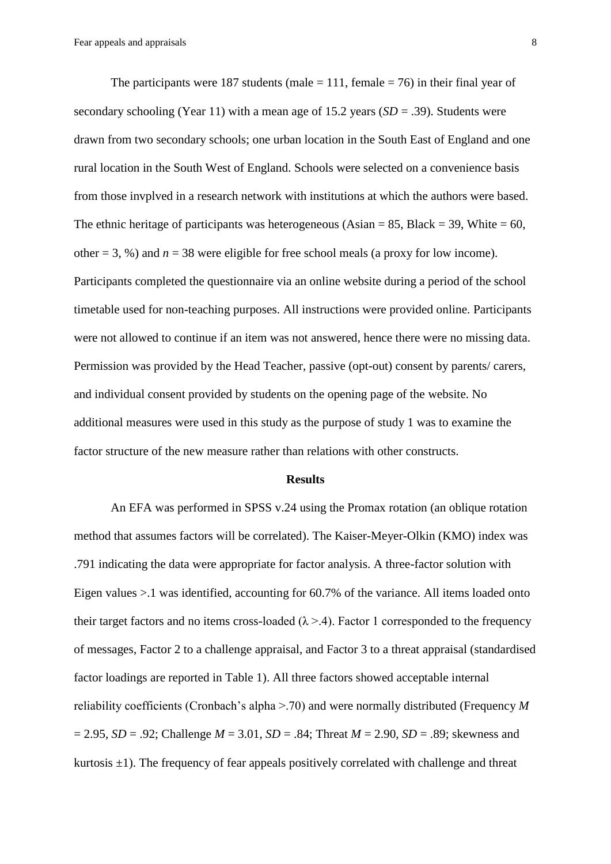The participants were 187 students (male  $= 111$ , female  $= 76$ ) in their final year of secondary schooling (Year 11) with a mean age of 15.2 years (*SD* = .39). Students were drawn from two secondary schools; one urban location in the South East of England and one rural location in the South West of England. Schools were selected on a convenience basis from those invplved in a research network with institutions at which the authors were based. The ethnic heritage of participants was heterogeneous (Asian  $= 85$ , Black  $= 39$ , White  $= 60$ , other  $= 3, %$ ) and  $n = 38$  were eligible for free school meals (a proxy for low income). Participants completed the questionnaire via an online website during a period of the school timetable used for non-teaching purposes. All instructions were provided online. Participants were not allowed to continue if an item was not answered, hence there were no missing data. Permission was provided by the Head Teacher, passive (opt-out) consent by parents/ carers, and individual consent provided by students on the opening page of the website. No additional measures were used in this study as the purpose of study 1 was to examine the factor structure of the new measure rather than relations with other constructs.

#### **Results**

An EFA was performed in SPSS v.24 using the Promax rotation (an oblique rotation method that assumes factors will be correlated). The Kaiser-Meyer-Olkin (KMO) index was .791 indicating the data were appropriate for factor analysis. A three-factor solution with Eigen values >.1 was identified, accounting for 60.7% of the variance. All items loaded onto their target factors and no items cross-loaded ( $\lambda > 4$ ). Factor 1 corresponded to the frequency of messages, Factor 2 to a challenge appraisal, and Factor 3 to a threat appraisal (standardised factor loadings are reported in Table 1). All three factors showed acceptable internal reliability coefficients (Cronbach's alpha >.70) and were normally distributed (Frequency *M* = 2.95, *SD* = .92; Challenge *M* = 3.01, *SD* = .84; Threat *M* = 2.90, *SD* = .89; skewness and kurtosis  $\pm 1$ ). The frequency of fear appeals positively correlated with challenge and threat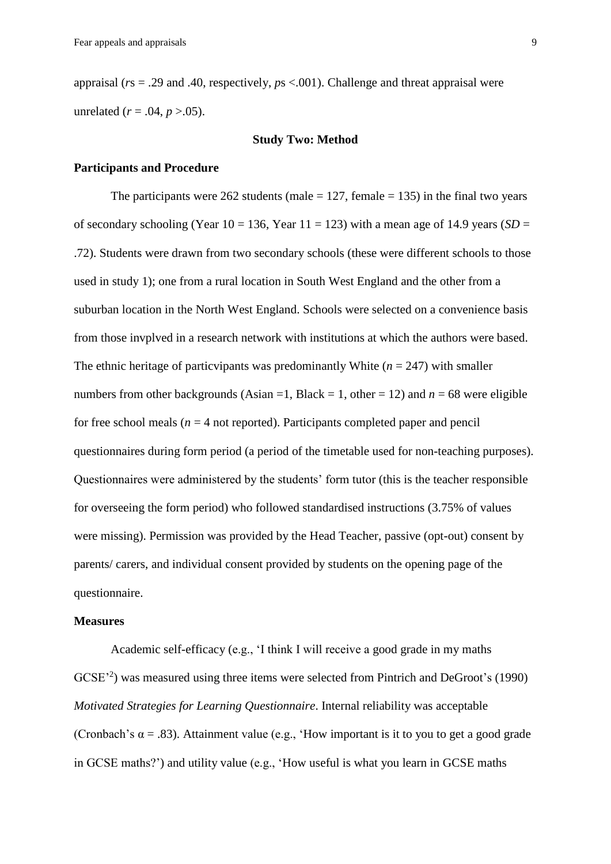appraisal (*r*s = .29 and .40, respectively, *p*s <.001). Challenge and threat appraisal were unrelated  $(r = .04, p > .05)$ .

#### **Study Two: Method**

#### **Participants and Procedure**

The participants were 262 students (male  $= 127$ , female  $= 135$ ) in the final two years of secondary schooling (Year  $10 = 136$ , Year  $11 = 123$ ) with a mean age of 14.9 years (*SD* = .72). Students were drawn from two secondary schools (these were different schools to those used in study 1); one from a rural location in South West England and the other from a suburban location in the North West England. Schools were selected on a convenience basis from those invplved in a research network with institutions at which the authors were based. The ethnic heritage of particvipants was predominantly White  $(n = 247)$  with smaller numbers from other backgrounds (Asian  $=1$ , Black  $= 1$ , other  $= 12$ ) and  $n = 68$  were eligible for free school meals ( $n = 4$  not reported). Participants completed paper and pencil questionnaires during form period (a period of the timetable used for non-teaching purposes). Questionnaires were administered by the students' form tutor (this is the teacher responsible for overseeing the form period) who followed standardised instructions (3.75% of values were missing). Permission was provided by the Head Teacher, passive (opt-out) consent by parents/ carers, and individual consent provided by students on the opening page of the questionnaire.

#### **Measures**

Academic self-efficacy (e.g., 'I think I will receive a good grade in my maths GCSE'<sup>2</sup>) was measured using three items were selected from Pintrich and DeGroot's (1990) *Motivated Strategies for Learning Questionnaire*. Internal reliability was acceptable (Cronbach's  $\alpha$  = .83). Attainment value (e.g., 'How important is it to you to get a good grade in GCSE maths?') and utility value (e.g., 'How useful is what you learn in GCSE maths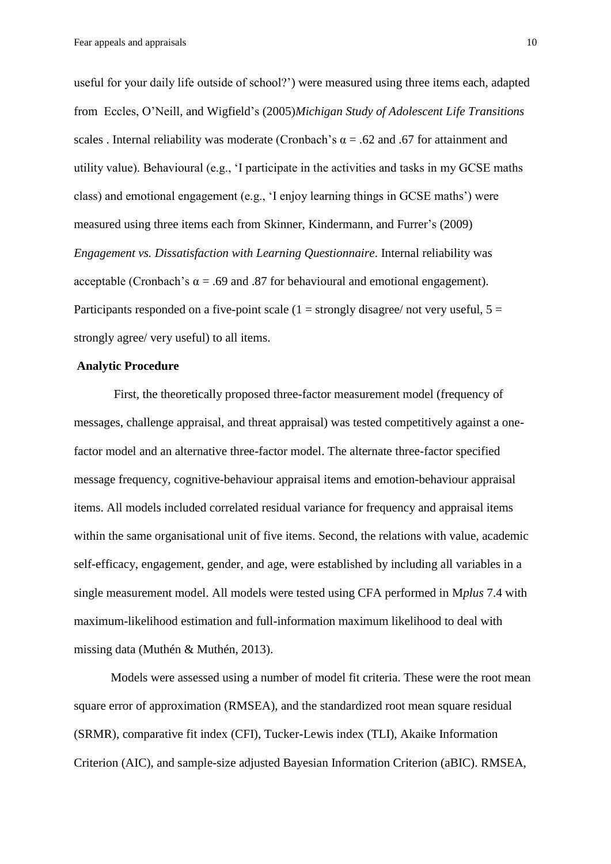useful for your daily life outside of school?') were measured using three items each, adapted from Eccles, O'Neill, and Wigfield's (2005)*Michigan Study of Adolescent Life Transitions* scales . Internal reliability was moderate (Cronbach's  $\alpha$  = .62 and .67 for attainment and utility value). Behavioural (e.g., 'I participate in the activities and tasks in my GCSE maths class) and emotional engagement (e.g., 'I enjoy learning things in GCSE maths') were measured using three items each from Skinner, Kindermann, and Furrer's (2009) *Engagement vs. Dissatisfaction with Learning Questionnaire*. Internal reliability was acceptable (Cronbach's  $\alpha$  = .69 and .87 for behavioural and emotional engagement). Participants responded on a five-point scale  $(1 =$  strongly disagree/ not very useful,  $5 =$ strongly agree/ very useful) to all items.

#### **Analytic Procedure**

First, the theoretically proposed three-factor measurement model (frequency of messages, challenge appraisal, and threat appraisal) was tested competitively against a onefactor model and an alternative three-factor model. The alternate three-factor specified message frequency, cognitive-behaviour appraisal items and emotion-behaviour appraisal items. All models included correlated residual variance for frequency and appraisal items within the same organisational unit of five items. Second, the relations with value, academic self-efficacy, engagement, gender, and age, were established by including all variables in a single measurement model. All models were tested using CFA performed in M*plus* 7.4 with maximum-likelihood estimation and full-information maximum likelihood to deal with missing data (Muthén & Muthén, 2013).

Models were assessed using a number of model fit criteria. These were the root mean square error of approximation (RMSEA), and the standardized root mean square residual (SRMR), comparative fit index (CFI), Tucker-Lewis index (TLI), Akaike Information Criterion (AIC), and sample-size adjusted Bayesian Information Criterion (aBIC). RMSEA,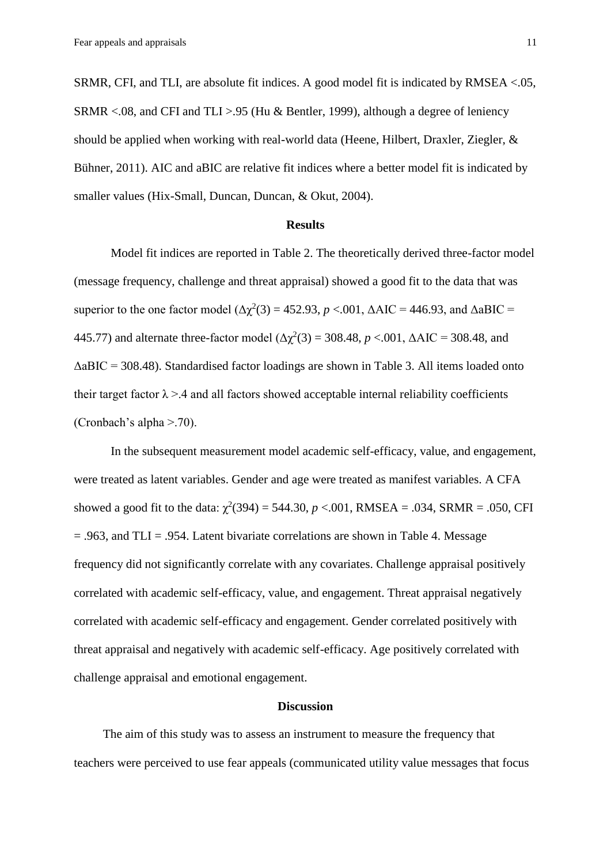SRMR, CFI, and TLI, are absolute fit indices. A good model fit is indicated by RMSEA <.05, SRMR <.08, and CFI and TLI >.95 (Hu & Bentler, 1999), although a degree of leniency should be applied when working with real-world data (Heene, Hilbert, Draxler, Ziegler, & Bühner, 2011). AIC and aBIC are relative fit indices where a better model fit is indicated by smaller values (Hix-Small, Duncan, Duncan, & Okut, 2004).

#### **Results**

Model fit indices are reported in Table 2. The theoretically derived three-factor model (message frequency, challenge and threat appraisal) showed a good fit to the data that was superior to the one factor model ( $\Delta \chi^2(3) = 452.93$ ,  $p < .001$ ,  $\Delta AIC = 446.93$ , and  $\Delta aBIC =$ 445.77) and alternate three-factor model ( $Δχ²(3) = 308.48$ ,  $p < .001$ ,  $ΔAIC = 308.48$ , and ΔaBIC = 308.48). Standardised factor loadings are shown in Table 3. All items loaded onto their target factor  $\lambda > 0.4$  and all factors showed acceptable internal reliability coefficients (Cronbach's alpha >.70).

In the subsequent measurement model academic self-efficacy, value, and engagement, were treated as latent variables. Gender and age were treated as manifest variables. A CFA showed a good fit to the data:  $\chi^2(394) = 544.30$ ,  $p < .001$ , RMSEA = .034, SRMR = .050, CFI = .963, and TLI = .954. Latent bivariate correlations are shown in Table 4. Message frequency did not significantly correlate with any covariates. Challenge appraisal positively correlated with academic self-efficacy, value, and engagement. Threat appraisal negatively correlated with academic self-efficacy and engagement. Gender correlated positively with threat appraisal and negatively with academic self-efficacy. Age positively correlated with challenge appraisal and emotional engagement.

#### **Discussion**

The aim of this study was to assess an instrument to measure the frequency that teachers were perceived to use fear appeals (communicated utility value messages that focus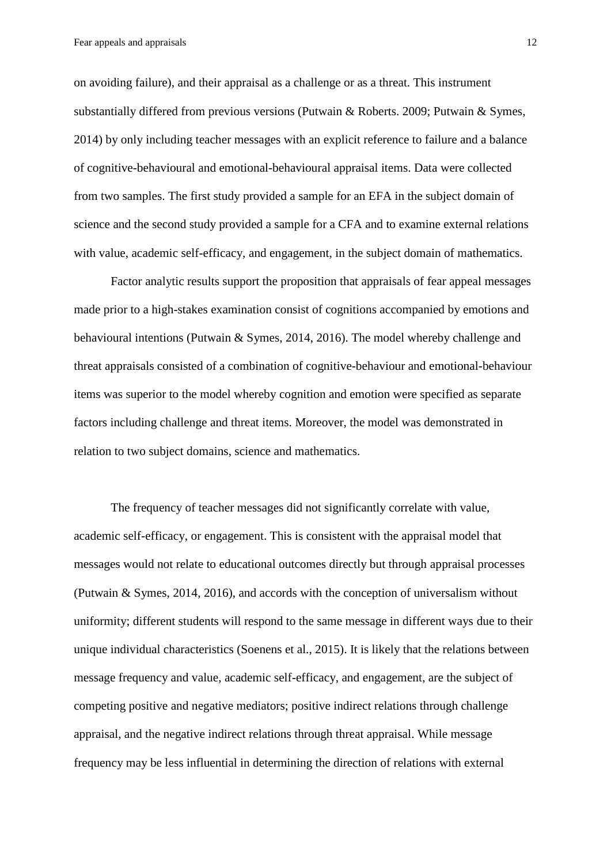on avoiding failure), and their appraisal as a challenge or as a threat. This instrument substantially differed from previous versions (Putwain & Roberts. 2009; Putwain & Symes, 2014) by only including teacher messages with an explicit reference to failure and a balance of cognitive-behavioural and emotional-behavioural appraisal items. Data were collected from two samples. The first study provided a sample for an EFA in the subject domain of science and the second study provided a sample for a CFA and to examine external relations with value, academic self-efficacy, and engagement, in the subject domain of mathematics.

Factor analytic results support the proposition that appraisals of fear appeal messages made prior to a high-stakes examination consist of cognitions accompanied by emotions and behavioural intentions (Putwain & Symes, 2014, 2016). The model whereby challenge and threat appraisals consisted of a combination of cognitive-behaviour and emotional-behaviour items was superior to the model whereby cognition and emotion were specified as separate factors including challenge and threat items. Moreover, the model was demonstrated in relation to two subject domains, science and mathematics.

The frequency of teacher messages did not significantly correlate with value, academic self-efficacy, or engagement. This is consistent with the appraisal model that messages would not relate to educational outcomes directly but through appraisal processes (Putwain & Symes, 2014, 2016), and accords with the conception of universalism without uniformity; different students will respond to the same message in different ways due to their unique individual characteristics (Soenens et al., 2015). It is likely that the relations between message frequency and value, academic self-efficacy, and engagement, are the subject of competing positive and negative mediators; positive indirect relations through challenge appraisal, and the negative indirect relations through threat appraisal. While message frequency may be less influential in determining the direction of relations with external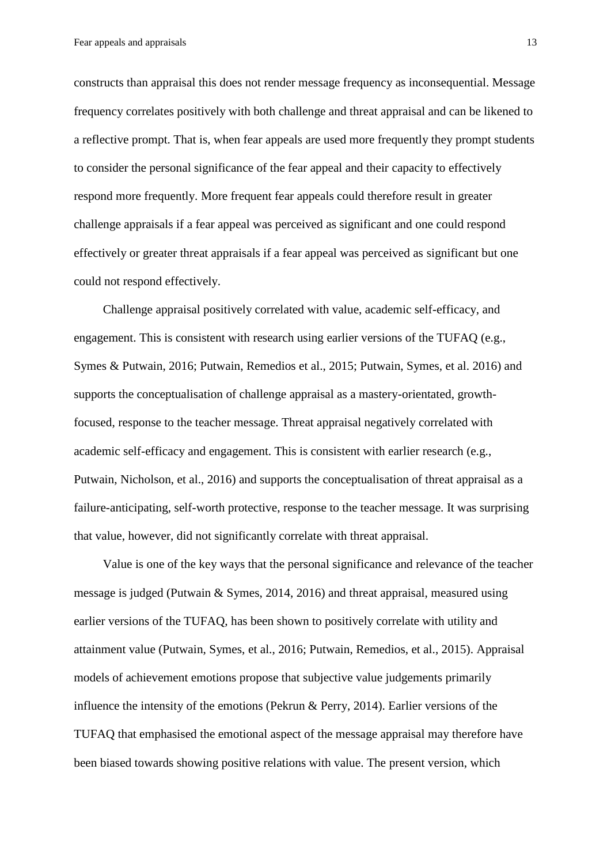constructs than appraisal this does not render message frequency as inconsequential. Message frequency correlates positively with both challenge and threat appraisal and can be likened to a reflective prompt. That is, when fear appeals are used more frequently they prompt students to consider the personal significance of the fear appeal and their capacity to effectively respond more frequently. More frequent fear appeals could therefore result in greater challenge appraisals if a fear appeal was perceived as significant and one could respond effectively or greater threat appraisals if a fear appeal was perceived as significant but one could not respond effectively.

Challenge appraisal positively correlated with value, academic self-efficacy, and engagement. This is consistent with research using earlier versions of the TUFAQ (e.g., Symes & Putwain, 2016; Putwain, Remedios et al., 2015; Putwain, Symes, et al. 2016) and supports the conceptualisation of challenge appraisal as a mastery-orientated, growthfocused, response to the teacher message. Threat appraisal negatively correlated with academic self-efficacy and engagement. This is consistent with earlier research (e.g., Putwain, Nicholson, et al., 2016) and supports the conceptualisation of threat appraisal as a failure-anticipating, self-worth protective, response to the teacher message. It was surprising that value, however, did not significantly correlate with threat appraisal.

Value is one of the key ways that the personal significance and relevance of the teacher message is judged (Putwain & Symes, 2014, 2016) and threat appraisal, measured using earlier versions of the TUFAQ, has been shown to positively correlate with utility and attainment value (Putwain, Symes, et al., 2016; Putwain, Remedios, et al., 2015). Appraisal models of achievement emotions propose that subjective value judgements primarily influence the intensity of the emotions (Pekrun & Perry, 2014). Earlier versions of the TUFAQ that emphasised the emotional aspect of the message appraisal may therefore have been biased towards showing positive relations with value. The present version, which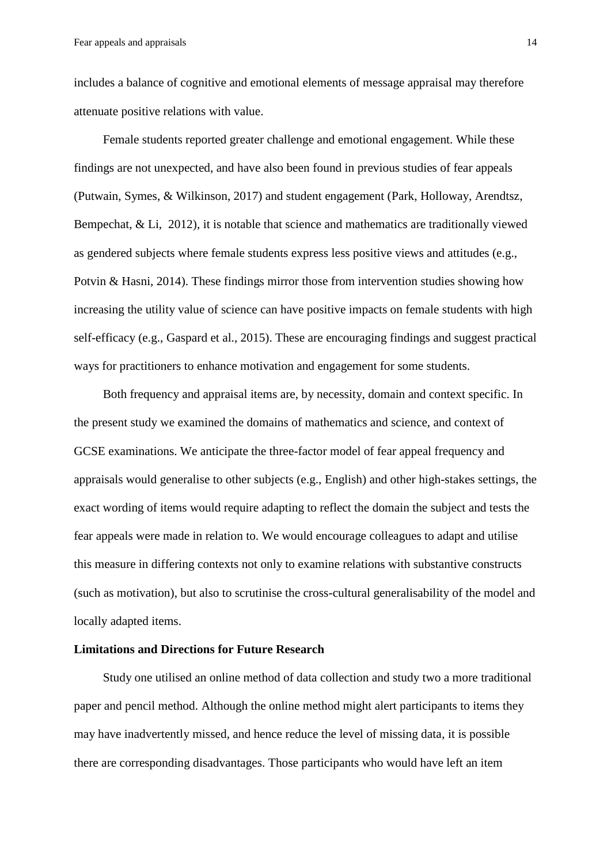includes a balance of cognitive and emotional elements of message appraisal may therefore attenuate positive relations with value.

Female students reported greater challenge and emotional engagement. While these findings are not unexpected, and have also been found in previous studies of fear appeals (Putwain, Symes, & Wilkinson, 2017) and student engagement (Park, Holloway, Arendtsz, Bempechat, & Li, 2012), it is notable that science and mathematics are traditionally viewed as gendered subjects where female students express less positive views and attitudes (e.g., Potvin & Hasni, 2014). These findings mirror those from intervention studies showing how increasing the utility value of science can have positive impacts on female students with high self-efficacy (e.g., Gaspard et al., 2015). These are encouraging findings and suggest practical ways for practitioners to enhance motivation and engagement for some students.

Both frequency and appraisal items are, by necessity, domain and context specific. In the present study we examined the domains of mathematics and science, and context of GCSE examinations. We anticipate the three-factor model of fear appeal frequency and appraisals would generalise to other subjects (e.g., English) and other high-stakes settings, the exact wording of items would require adapting to reflect the domain the subject and tests the fear appeals were made in relation to. We would encourage colleagues to adapt and utilise this measure in differing contexts not only to examine relations with substantive constructs (such as motivation), but also to scrutinise the cross-cultural generalisability of the model and locally adapted items.

#### **Limitations and Directions for Future Research**

Study one utilised an online method of data collection and study two a more traditional paper and pencil method. Although the online method might alert participants to items they may have inadvertently missed, and hence reduce the level of missing data, it is possible there are corresponding disadvantages. Those participants who would have left an item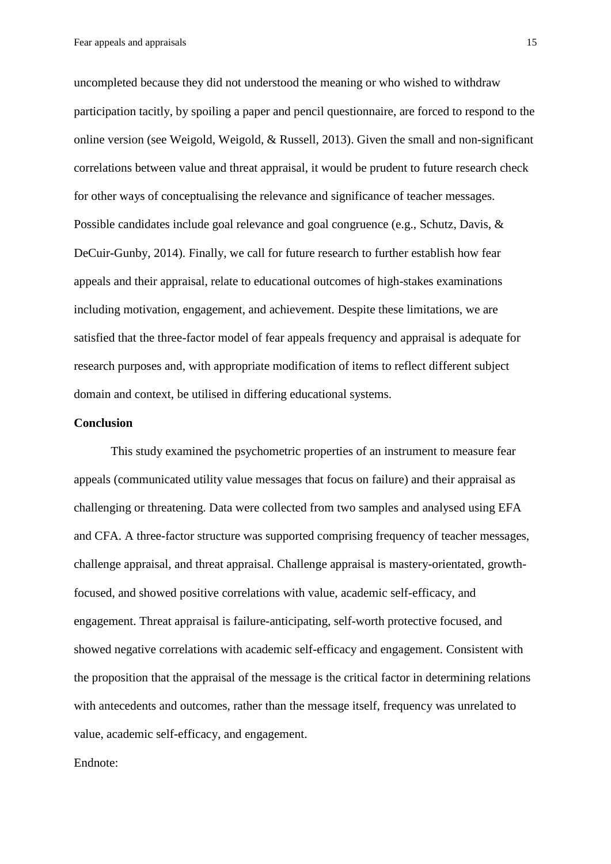uncompleted because they did not understood the meaning or who wished to withdraw participation tacitly, by spoiling a paper and pencil questionnaire, are forced to respond to the online version (see Weigold, Weigold, & Russell, 2013). Given the small and non-significant correlations between value and threat appraisal, it would be prudent to future research check for other ways of conceptualising the relevance and significance of teacher messages. Possible candidates include goal relevance and goal congruence (e.g., Schutz, Davis, & DeCuir-Gunby, 2014). Finally, we call for future research to further establish how fear appeals and their appraisal, relate to educational outcomes of high-stakes examinations including motivation, engagement, and achievement. Despite these limitations, we are satisfied that the three-factor model of fear appeals frequency and appraisal is adequate for research purposes and, with appropriate modification of items to reflect different subject domain and context, be utilised in differing educational systems.

#### **Conclusion**

This study examined the psychometric properties of an instrument to measure fear appeals (communicated utility value messages that focus on failure) and their appraisal as challenging or threatening. Data were collected from two samples and analysed using EFA and CFA. A three-factor structure was supported comprising frequency of teacher messages, challenge appraisal, and threat appraisal. Challenge appraisal is mastery-orientated, growthfocused, and showed positive correlations with value, academic self-efficacy, and engagement. Threat appraisal is failure-anticipating, self-worth protective focused, and showed negative correlations with academic self-efficacy and engagement. Consistent with the proposition that the appraisal of the message is the critical factor in determining relations with antecedents and outcomes, rather than the message itself, frequency was unrelated to value, academic self-efficacy, and engagement.

#### Endnote: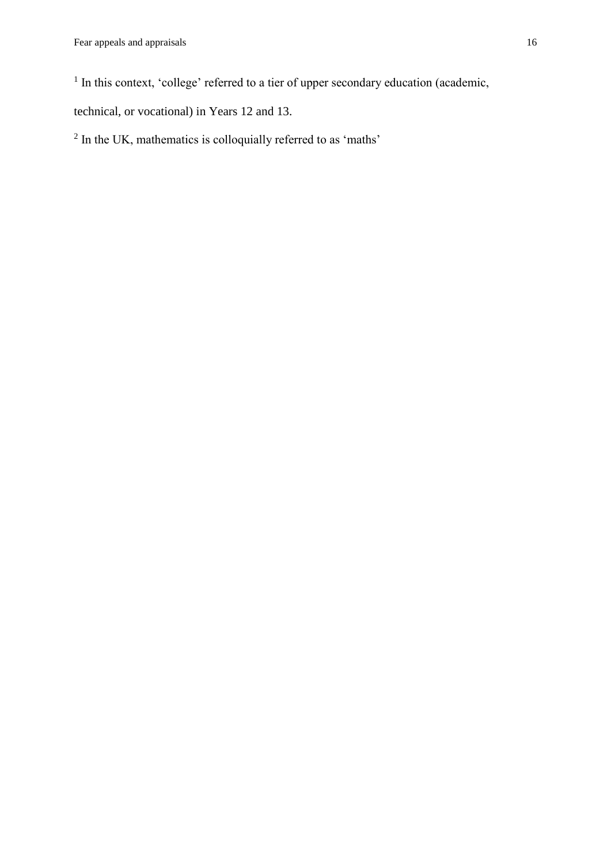<sup>1</sup> In this context, 'college' referred to a tier of upper secondary education (academic,

technical, or vocational) in Years 12 and 13.

 $2$  In the UK, mathematics is colloquially referred to as 'maths'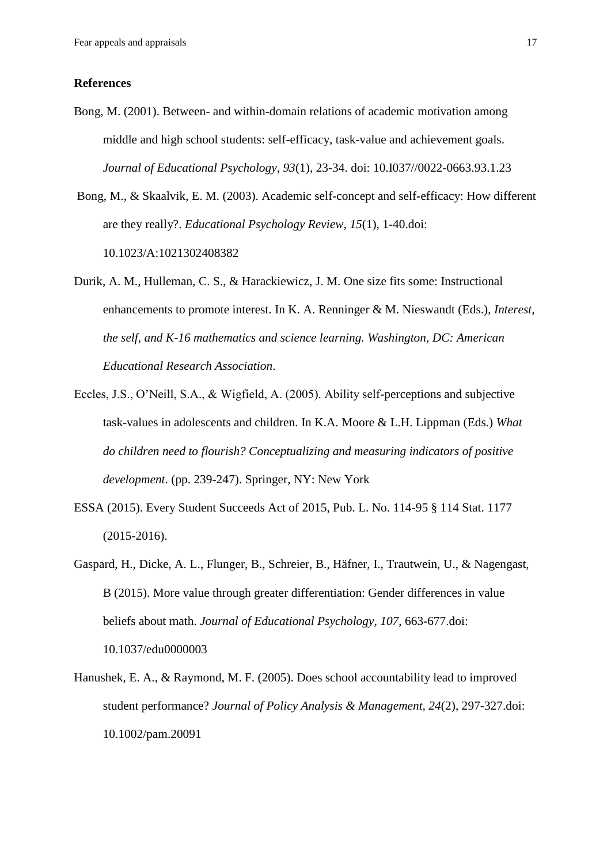#### **References**

Bong, M. (2001). Between- and within-domain relations of academic motivation among middle and high school students: self-efficacy, task-value and achievement goals. *Journal of Educational Psychology, 93*(1), 23-34. doi: 10.I037//0022-0663.93.1.23

Bong, M., & Skaalvik, E. M. (2003). Academic self-concept and self-efficacy: How different are they really?. *Educational Psychology Review*, *15*(1), 1-40.doi: 10.1023/A:1021302408382

- Durik, A. M., Hulleman, C. S., & Harackiewicz, J. M. One size fits some: Instructional enhancements to promote interest. In K. A. Renninger & M. Nieswandt (Eds.), *Interest, the self, and K-16 mathematics and science learning. Washington, DC: American Educational Research Association*.
- Eccles, J.S., O'Neill, S.A., & Wigfield, A. (2005). Ability self-perceptions and subjective task-values in adolescents and children. In K.A. Moore & L.H. Lippman (Eds.) *What do children need to flourish? Conceptualizing and measuring indicators of positive development*. (pp. 239-247). Springer, NY: New York
- ESSA (2015). Every Student Succeeds Act of 2015, Pub. L. No. 114-95 § 114 Stat. 1177 (2015-2016).
- Gaspard, H., Dicke, A. L., Flunger, B., Schreier, B., Häfner, I., Trautwein, U., & Nagengast, B (2015). More value through greater differentiation: Gender differences in value beliefs about math. *Journal of Educational Psychology*, *107*, 663-677.doi: 10.1037/edu0000003
- Hanushek, E. A., & Raymond, M. F. (2005). Does school accountability lead to improved student performance? *Journal of Policy Analysis & Management, 24*(2), 297-327.doi: 10.1002/pam.20091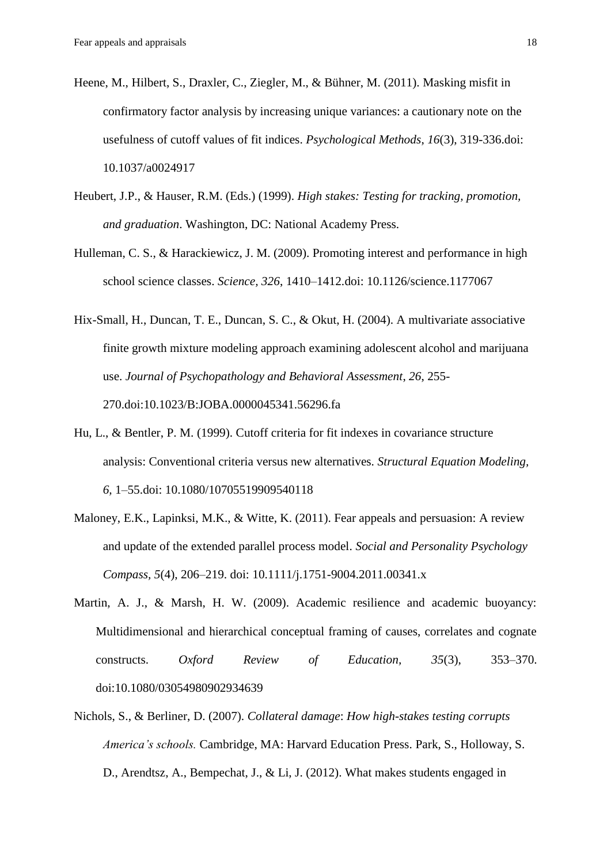- Heene, M., Hilbert, S., Draxler, C., Ziegler, M., & Bühner, M. (2011). Masking misfit in confirmatory factor analysis by increasing unique variances: a cautionary note on the usefulness of cutoff values of fit indices. *Psychological Methods*, *16*(3), 319-336.doi: 10.1037/a0024917
- Heubert, J.P., & Hauser, R.M. (Eds.) (1999). *High stakes: Testing for tracking, promotion, and graduation*. Washington, DC: National Academy Press.
- Hulleman, C. S., & Harackiewicz, J. M. (2009). Promoting interest and performance in high school science classes. *Science, 326*, 1410–1412.doi: 10.1126/science.1177067
- Hix-Small, H., Duncan, T. E., Duncan, S. C., & Okut, H. (2004). A multivariate associative finite growth mixture modeling approach examining adolescent alcohol and marijuana use. *Journal of Psychopathology and Behavioral Assessment*, *26*, 255- 270.doi:10.1023/B:JOBA.0000045341.56296.fa
- Hu, L., & Bentler, P. M. (1999). Cutoff criteria for fit indexes in covariance structure analysis: Conventional criteria versus new alternatives. *Structural Equation Modeling, 6,* 1–55.doi: 10.1080/10705519909540118
- Maloney, E.K., Lapinksi, M.K., & Witte, K. (2011). Fear appeals and persuasion: A review and update of the extended parallel process model. *Social and Personality Psychology Compass, 5*(4), 206–219. doi: 10.1111/j.1751-9004.2011.00341.x
- Martin, A. J., & Marsh, H. W. (2009). Academic resilience and academic buoyancy: Multidimensional and hierarchical conceptual framing of causes, correlates and cognate constructs. *Oxford Review of Education, 35*(3), 353–370. doi:10.1080/03054980902934639
- Nichols, S., & Berliner, D. (2007). *Collateral damage*: *How high-stakes testing corrupts America's schools.* Cambridge, MA: Harvard Education Press. Park, S., Holloway, S. D., Arendtsz, A., Bempechat, J., & Li, J. (2012). What makes students engaged in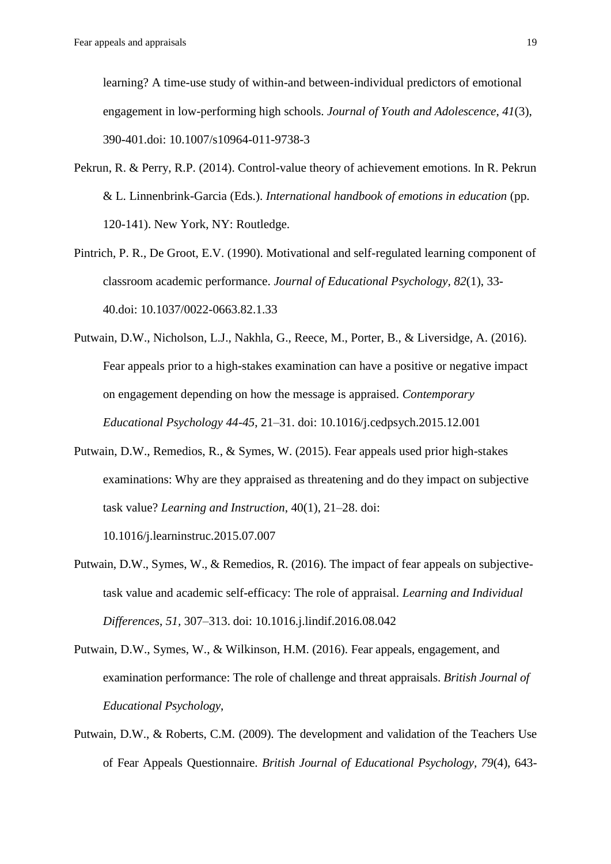learning? A time-use study of within-and between-individual predictors of emotional engagement in low-performing high schools. *Journal of Youth and Adolescence*, *41*(3), 390-401.doi: 10.1007/s10964-011-9738-3

- Pekrun, R. & Perry, R.P. (2014). Control-value theory of achievement emotions. In R. Pekrun & L. Linnenbrink-Garcia (Eds.). *International handbook of emotions in education* (pp. 120-141). New York, NY: Routledge.
- Pintrich, P. R., De Groot, E.V. (1990). Motivational and self-regulated learning component of classroom academic performance. *Journal of Educational Psychology, 82*(1), 33- 40.doi: 10.1037/0022-0663.82.1.33
- Putwain, D.W., Nicholson, L.J., Nakhla, G., Reece, M., Porter, B., & Liversidge, A. (2016). Fear appeals prior to a high-stakes examination can have a positive or negative impact on engagement depending on how the message is appraised. *Contemporary Educational Psychology 44-45*, 21–31. doi: 10.1016/j.cedpsych.2015.12.001
- Putwain, D.W., Remedios, R., & Symes, W. (2015). Fear appeals used prior high-stakes examinations: Why are they appraised as threatening and do they impact on subjective task value? *Learning and Instruction*, 40(1), 21–28. doi:

10.1016/j.learninstruc.2015.07.007

- Putwain, D.W., Symes, W., & Remedios, R. (2016). The impact of fear appeals on subjectivetask value and academic self-efficacy: The role of appraisal. *Learning and Individual Differences*, *51,* 307–313. doi: 10.1016.j.lindif.2016.08.042
- Putwain, D.W., Symes, W., & Wilkinson, H.M. (2016). Fear appeals, engagement, and examination performance: The role of challenge and threat appraisals. *British Journal of Educational Psychology*,
- Putwain, D.W., & Roberts, C.M. (2009). The development and validation of the Teachers Use of Fear Appeals Questionnaire. *British Journal of Educational Psychology, 79*(4), 643-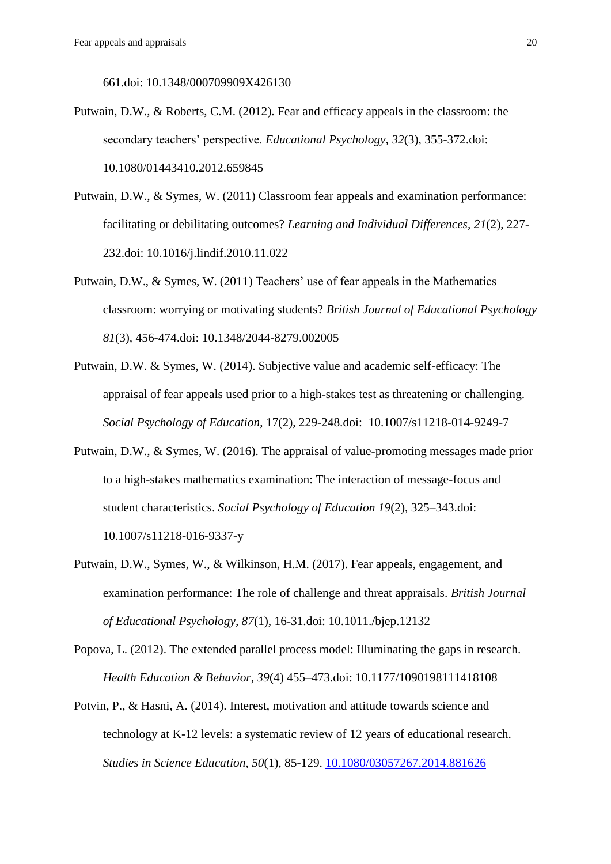661.doi: 10.1348/000709909X426130

- Putwain, D.W., & Roberts, C.M. (2012). Fear and efficacy appeals in the classroom: the secondary teachers' perspective. *Educational Psychology, 32*(3), 355-372.doi: 10.1080/01443410.2012.659845
- Putwain, D.W., & Symes, W. (2011) Classroom fear appeals and examination performance: facilitating or debilitating outcomes? *Learning and Individual Differences, 21*(2), 227- 232.doi: 10.1016/j.lindif.2010.11.022
- Putwain, D.W., & Symes, W. (2011) Teachers' use of fear appeals in the Mathematics classroom: worrying or motivating students? *British Journal of Educational Psychology 81*(3)*,* 456-474.doi: 10.1348/2044-8279.002005
- Putwain, D.W. & Symes, W. (2014). Subjective value and academic self-efficacy: The appraisal of fear appeals used prior to a high-stakes test as threatening or challenging. *Social Psychology of Education*, 17(2), 229-248.doi: 10.1007/s11218-014-9249-7
- Putwain, D.W., & Symes, W. (2016). The appraisal of value-promoting messages made prior to a high-stakes mathematics examination: The interaction of message-focus and student characteristics. *Social Psychology of Education 19*(2), 325–343.doi: 10.1007/s11218-016-9337-y
- Putwain, D.W., Symes, W., & Wilkinson, H.M. (2017). Fear appeals, engagement, and examination performance: The role of challenge and threat appraisals. *British Journal of Educational Psychology, 87*(1), 16-31.doi: 10.1011./bjep.12132
- Popova, L. (2012). The extended parallel process model: Illuminating the gaps in research. *Health Education & Behavior, 39*(4) 455–473.doi: 10.1177/1090198111418108
- Potvin, P., & Hasni, A. (2014). Interest, motivation and attitude towards science and technology at K-12 levels: a systematic review of 12 years of educational research. *Studies in Science Education*, *50*(1), 85-129. [10.1080/03057267.2014.881626](http://dx.doi.org/10.1080/03057267.2014.881626)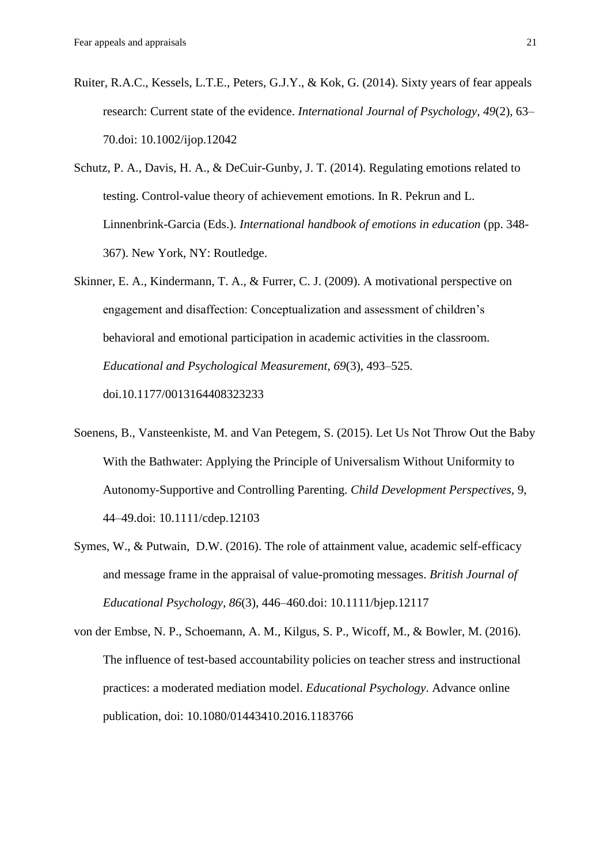- Ruiter, R.A.C., Kessels, L.T.E., Peters, G.J.Y., & Kok, G. (2014). Sixty years of fear appeals research: Current state of the evidence. *International Journal of Psychology, 49*(2), 63– 70.doi: 10.1002/ijop.12042
- Schutz, P. A., Davis, H. A., & DeCuir-Gunby, J. T. (2014). Regulating emotions related to testing. Control-value theory of achievement emotions. In R. Pekrun and L. Linnenbrink-Garcia (Eds.). *International handbook of emotions in education* (pp. 348- 367). New York, NY: Routledge.
- Skinner, E. A., Kindermann, T. A., & Furrer, C. J. (2009). A motivational perspective on engagement and disaffection: Conceptualization and assessment of children's behavioral and emotional participation in academic activities in the classroom. *Educational and Psychological Measurement, 69*(3), 493–525. doi.10.1177/0013164408323233
- Soenens, B., Vansteenkiste, M. and Van Petegem, S. (2015). Let Us Not Throw Out the Baby With the Bathwater: Applying the Principle of Universalism Without Uniformity to Autonomy-Supportive and Controlling Parenting. *Child Development Perspectives,* 9, 44–49.doi: [10.1111/cdep.12103](http://dx.doi.org/10.1111/cdep.12103)
- Symes, W., & Putwain, D.W. (2016). The role of attainment value, academic self-efficacy and message frame in the appraisal of value-promoting messages. *British Journal of Educational Psychology, 86*(3), 446–460.doi: 10.1111/bjep.12117

von der Embse, N. P., Schoemann, A. M., Kilgus, S. P., Wicoff, M., & Bowler, M. (2016). The influence of test-based accountability policies on teacher stress and instructional practices: a moderated mediation model. *Educational Psychology*. Advance online publication, doi: 10.1080/01443410.2016.1183766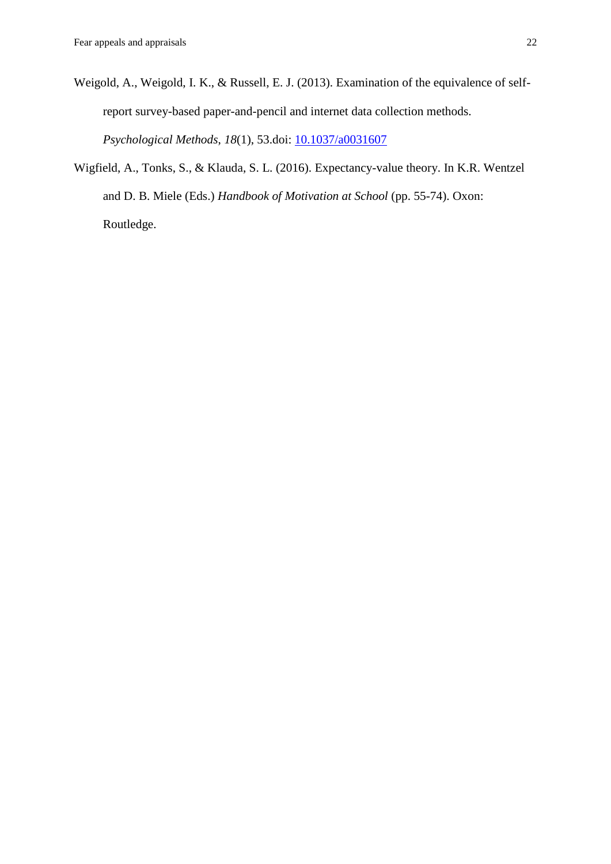- Weigold, A., Weigold, I. K., & Russell, E. J. (2013). Examination of the equivalence of selfreport survey-based paper-and-pencil and internet data collection methods. *Psychological Methods*, *18*(1), 53.doi: [10.1037/a0031607](http://psycnet.apa.org/doi/10.1037/a0031607)
- Wigfield, A., Tonks, S., & Klauda, S. L. (2016). Expectancy-value theory. In K.R. Wentzel and D. B. Miele (Eds.) *Handbook of Motivation at School* (pp. 55-74). Oxon: Routledge.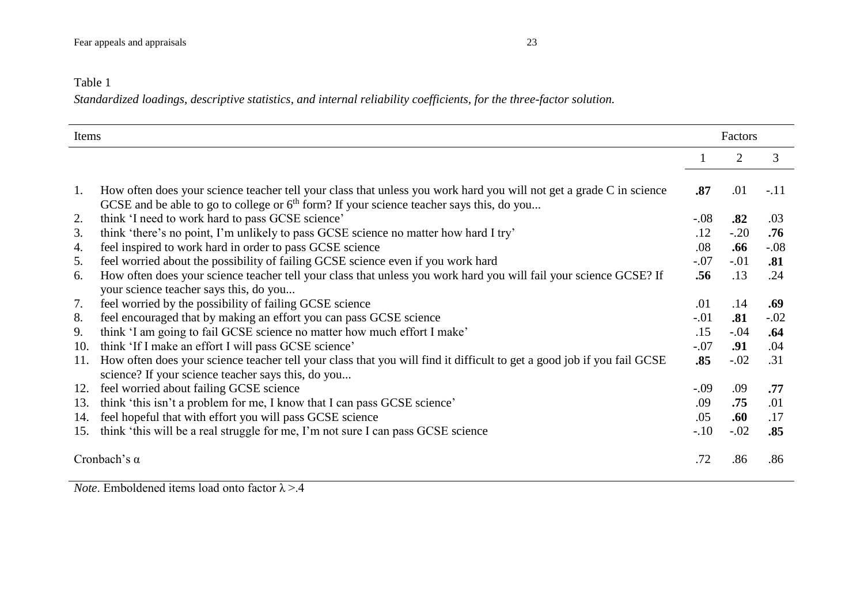### Table 1

*Standardized loadings, descriptive statistics, and internal reliability coefficients, for the three-factor solution.*

| Items               |                                                                                                                                                                                                                   |        | Factors        |        |  |
|---------------------|-------------------------------------------------------------------------------------------------------------------------------------------------------------------------------------------------------------------|--------|----------------|--------|--|
|                     |                                                                                                                                                                                                                   |        | $\overline{2}$ | 3      |  |
|                     |                                                                                                                                                                                                                   |        |                |        |  |
| 1.                  | How often does your science teacher tell your class that unless you work hard you will not get a grade C in science<br>GCSE and be able to go to college or $6th$ form? If your science teacher says this, do you | .87    | .01            | $-.11$ |  |
| 2.                  | think 'I need to work hard to pass GCSE science'                                                                                                                                                                  | $-.08$ | .82            | .03    |  |
| 3.                  | think 'there's no point, I'm unlikely to pass GCSE science no matter how hard I try'                                                                                                                              | .12    | $-.20$         | .76    |  |
| 4.                  | feel inspired to work hard in order to pass GCSE science                                                                                                                                                          | .08    | .66            | $-.08$ |  |
| 5.                  | feel worried about the possibility of failing GCSE science even if you work hard                                                                                                                                  | $-.07$ | $-.01$         | .81    |  |
| 6.                  | How often does your science teacher tell your class that unless you work hard you will fail your science GCSE? If                                                                                                 | .56    | .13            | .24    |  |
|                     | your science teacher says this, do you                                                                                                                                                                            |        |                |        |  |
| 7.                  | feel worried by the possibility of failing GCSE science                                                                                                                                                           | .01    | .14            | .69    |  |
| 8.                  | feel encouraged that by making an effort you can pass GCSE science                                                                                                                                                | $-.01$ | .81            | $-.02$ |  |
| 9.                  | think 'I am going to fail GCSE science no matter how much effort I make'                                                                                                                                          | .15    | $-.04$         | .64    |  |
| 10.                 | think 'If I make an effort I will pass GCSE science'                                                                                                                                                              | $-.07$ | .91            | .04    |  |
| 11.                 | How often does your science teacher tell your class that you will find it difficult to get a good job if you fail GCSE                                                                                            | .85    | $-.02$         | .31    |  |
|                     | science? If your science teacher says this, do you                                                                                                                                                                |        |                |        |  |
| 12.                 | feel worried about failing GCSE science                                                                                                                                                                           | $-.09$ | .09            | .77    |  |
| 13.                 | think 'this isn't a problem for me, I know that I can pass GCSE science'                                                                                                                                          | .09    | .75            | .01    |  |
| 14.                 | feel hopeful that with effort you will pass GCSE science                                                                                                                                                          | .05    | .60            | .17    |  |
| 15.                 | think 'this will be a real struggle for me, I'm not sure I can pass GCSE science                                                                                                                                  | $-.10$ | $-.02$         | .85    |  |
| Cronbach's $\alpha$ |                                                                                                                                                                                                                   |        | .86            | .86    |  |

*Note*. Emboldened items load onto factor  $\lambda$  >.4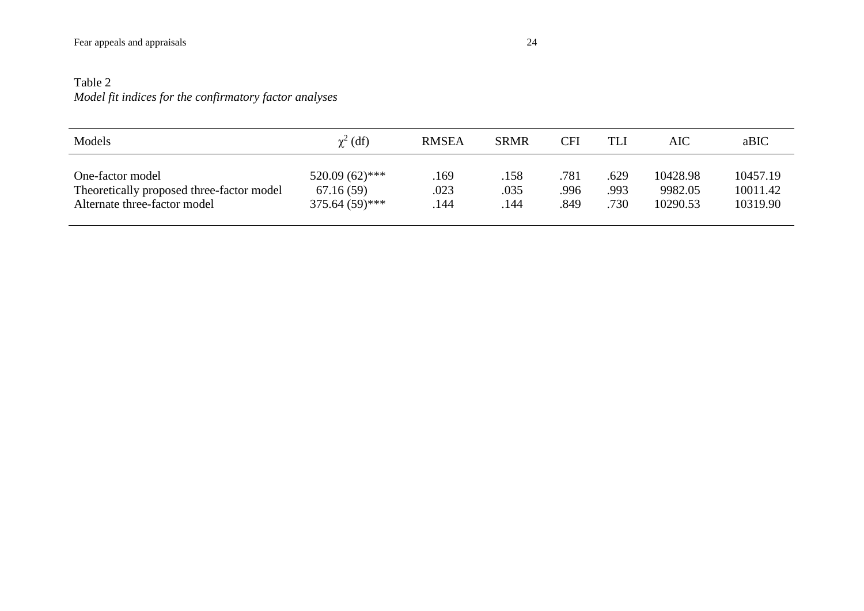## Table 2 *Model fit indices for the confirmatory factor analyses*

| Models                                    | $\chi^2$ (df)    | <b>RMSEA</b> | <b>SRMR</b> | <b>CFI</b> | TLI  | AIC      | aBIC     |
|-------------------------------------------|------------------|--------------|-------------|------------|------|----------|----------|
| One-factor model                          | $520.09(62)$ *** | .169         | .158        | .781       | .629 | 10428.98 | 10457.19 |
| Theoretically proposed three-factor model | 67.16(59)        | .023         | .035        | .996       | .993 | 9982.05  | 10011.42 |
| Alternate three-factor model              | $375.64(59)$ *** | .144         | 144         | .849       | .730 | 10290.53 | 10319.90 |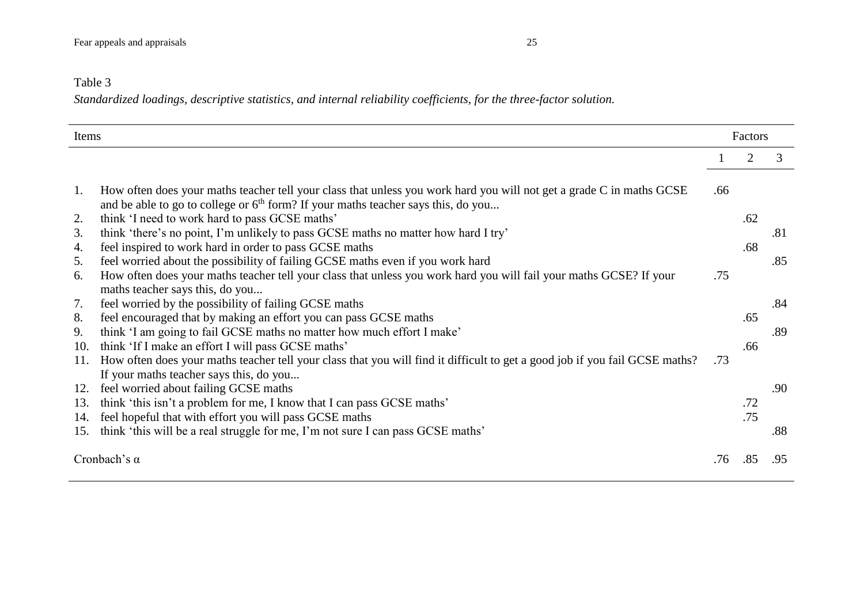## Table 3

*Standardized loadings, descriptive statistics, and internal reliability coefficients, for the three-factor solution.*

| Items               |                                                                                                                             |     |     | Factors |  |  |
|---------------------|-----------------------------------------------------------------------------------------------------------------------------|-----|-----|---------|--|--|
|                     |                                                                                                                             |     | 2   | 3       |  |  |
| 1.                  | How often does your maths teacher tell your class that unless you work hard you will not get a grade C in maths GCSE        | .66 |     |         |  |  |
|                     | and be able to go to college or 6 <sup>th</sup> form? If your maths teacher says this, do you                               |     |     |         |  |  |
| 2.                  | think 'I need to work hard to pass GCSE maths'                                                                              |     | .62 |         |  |  |
| 3.                  | think 'there's no point, I'm unlikely to pass GCSE maths no matter how hard I try'                                          |     |     | .81     |  |  |
| 4.                  | feel inspired to work hard in order to pass GCSE maths                                                                      |     | .68 |         |  |  |
| 5.                  | feel worried about the possibility of failing GCSE maths even if you work hard                                              |     |     | .85     |  |  |
| 6.                  | How often does your maths teacher tell your class that unless you work hard you will fail your maths GCSE? If your          | .75 |     |         |  |  |
|                     | maths teacher says this, do you                                                                                             |     |     |         |  |  |
| 7.                  | feel worried by the possibility of failing GCSE maths                                                                       |     |     | .84     |  |  |
| 8.                  | feel encouraged that by making an effort you can pass GCSE maths                                                            |     | .65 |         |  |  |
| 9.                  | think 'I am going to fail GCSE maths no matter how much effort I make'                                                      |     |     | .89     |  |  |
| 10.                 | think 'If I make an effort I will pass GCSE maths'                                                                          |     | .66 |         |  |  |
| 11.                 | How often does your maths teacher tell your class that you will find it difficult to get a good job if you fail GCSE maths? | .73 |     |         |  |  |
|                     | If your maths teacher says this, do you                                                                                     |     |     |         |  |  |
| 12.                 | feel worried about failing GCSE maths                                                                                       |     |     | .90     |  |  |
| 13.                 | think 'this isn't a problem for me, I know that I can pass GCSE maths'                                                      |     | .72 |         |  |  |
| 14.                 | feel hopeful that with effort you will pass GCSE maths                                                                      |     | .75 |         |  |  |
| 15.                 | think 'this will be a real struggle for me, I'm not sure I can pass GCSE maths'                                             |     |     | .88     |  |  |
| Cronbach's $\alpha$ |                                                                                                                             | .76 | .85 | .95     |  |  |
|                     |                                                                                                                             |     |     |         |  |  |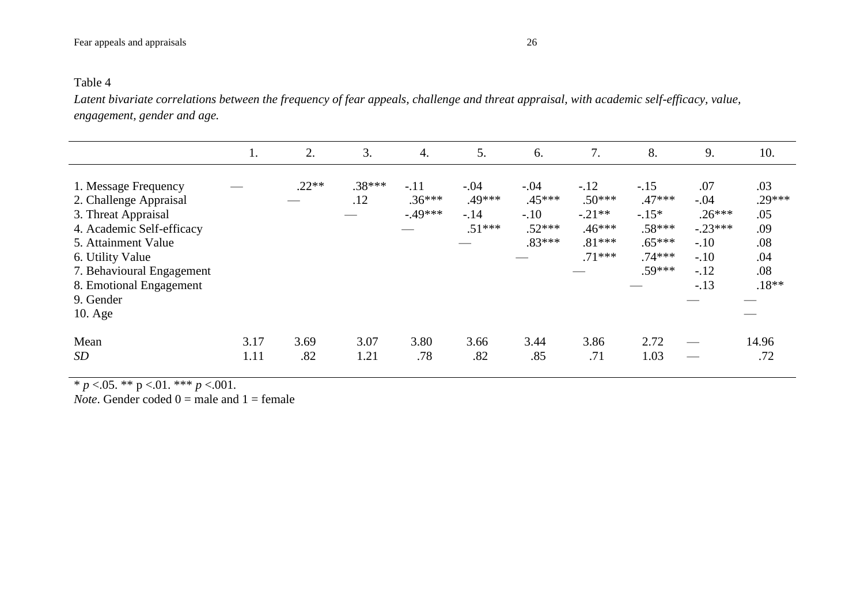*Latent bivariate correlations between the frequency of fear appeals, challenge and threat appraisal, with academic self-efficacy, value, engagement, gender and age.*

|                                                                                                                                                                                                                                 | 1.           | 2.          | 3.              | 4.                             | 5.                                     | 6.                                                 | 7.                                                                 | 8.                                                                          | 9.                                                                             | 10.                                                           |
|---------------------------------------------------------------------------------------------------------------------------------------------------------------------------------------------------------------------------------|--------------|-------------|-----------------|--------------------------------|----------------------------------------|----------------------------------------------------|--------------------------------------------------------------------|-----------------------------------------------------------------------------|--------------------------------------------------------------------------------|---------------------------------------------------------------|
| 1. Message Frequency<br>2. Challenge Appraisal<br>3. Threat Appraisal<br>4. Academic Self-efficacy<br>5. Attainment Value<br>6. Utility Value<br>7. Behavioural Engagement<br>8. Emotional Engagement<br>9. Gender<br>$10.$ Age |              | $.22**$     | $.38***$<br>.12 | $-.11$<br>$.36***$<br>$-49***$ | $-.04$<br>.49***<br>$-.14$<br>$.51***$ | $-.04$<br>.45***<br>$-.10$<br>$.52***$<br>$.83***$ | $-.12$<br>$.50***$<br>$-.21**$<br>$.46***$<br>$.81***$<br>$.71***$ | $-.15$<br>$.47***$<br>$-.15*$<br>$.58***$<br>$.65***$<br>$.74***$<br>.59*** | .07<br>$-.04$<br>$.26***$<br>$-.23***$<br>$-.10$<br>$-.10$<br>$-.12$<br>$-.13$ | .03<br>$.29***$<br>.05<br>.09<br>.08<br>.04<br>.08<br>$.18**$ |
| Mean<br>SD                                                                                                                                                                                                                      | 3.17<br>1.11 | 3.69<br>.82 | 3.07<br>1.21    | 3.80<br>.78                    | 3.66<br>.82                            | 3.44<br>.85                                        | 3.86<br>.71                                                        | 2.72<br>1.03                                                                |                                                                                | 14.96<br>.72                                                  |

\* *p* <.05. \*\* p <.01. \*\*\* *p* <.001.

*Note*. Gender coded 0 = male and 1 = female